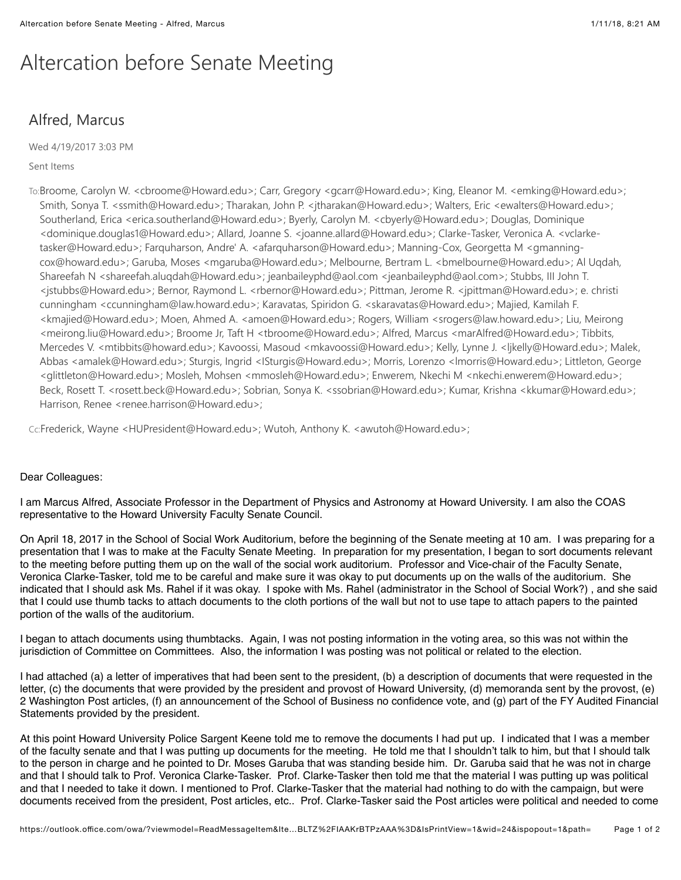## Altercation before Senate Meeting

## Alfred, Marcus

Wed 4/19/2017 3:03 PM

## Sent Items

To:Broome, Carolyn W. <cbroome@Howard.edu>; Carr, Gregory <gcarr@Howard.edu>; King, Eleanor M. <emking@Howard.edu>; Smith, Sonya T. <ssmith@Howard.edu>; Tharakan, John P. <jtharakan@Howard.edu>; Walters, Eric <ewalters@Howard.edu>; Southerland, Erica <erica.southerland@Howard.edu>; Byerly, Carolyn M. <cbyerly@Howard.edu>; Douglas, Dominique <dominique.douglas1@Howard.edu>; Allard, Joanne S. <joanne.allard@Howard.edu>; Clarke-Tasker, Veronica A. <vclarketasker@Howard.edu>; Farquharson, Andre' A. <afarquharson@Howard.edu>; Manning-Cox, Georgetta M <gmanningcox@howard.edu>; Garuba, Moses <mgaruba@Howard.edu>; Melbourne, Bertram L. <bmelbourne@Howard.edu>; Al Uqdah, Shareefah N <shareefah.aluqdah@Howard.edu>; jeanbaileyphd@aol.com <jeanbaileyphd@aol.com>; Stubbs, III John T. <jstubbs@Howard.edu>; Bernor, Raymond L. <rbernor@Howard.edu>; Pittman, Jerome R. <jpittman@Howard.edu>; e. christi cunningham <ccunningham@law.howard.edu>; Karavatas, Spiridon G. <skaravatas@Howard.edu>; Majied, Kamilah F. <kmajied@Howard.edu>; Moen, Ahmed A. <amoen@Howard.edu>; Rogers, William <srogers@law.howard.edu>; Liu, Meirong <meirong.liu@Howard.edu>; Broome Jr, Taft H <tbroome@Howard.edu>; Alfred, Marcus <marAlfred@Howard.edu>; Tibbits, Mercedes V. <mtibbits@howard.edu>; Kavoossi, Masoud <mkavoossi@Howard.edu>; Kelly, Lynne J. <ljkelly@Howard.edu>; Malek, Abbas <amalek@Howard.edu>; Sturgis, Ingrid <ISturgis@Howard.edu>; Morris, Lorenzo <lmorris@Howard.edu>; Littleton, George <glittleton@Howard.edu>; Mosleh, Mohsen <mmosleh@Howard.edu>; Enwerem, Nkechi M <nkechi.enwerem@Howard.edu>; Beck, Rosett T. <rosett.beck@Howard.edu>; Sobrian, Sonya K. <ssobrian@Howard.edu>; Kumar, Krishna <kkumar@Howard.edu>; Harrison, Renee <renee.harrison@Howard.edu>;

Cc:Frederick, Wayne <HUPresident@Howard.edu>; Wutoh, Anthony K. <awutoh@Howard.edu>;

## Dear Colleagues:

I am Marcus Alfred, Associate Professor in the Department of Physics and Astronomy at Howard University. I am also the COAS representative to the Howard University Faculty Senate Council.

On April 18, 2017 in the School of Social Work Auditorium, before the beginning of the Senate meeting at 10 am. I was preparing for a presentation that I was to make at the Faculty Senate Meeting. In preparation for my presentation, I began to sort documents relevant to the meeting before putting them up on the wall of the social work auditorium. Professor and Vice-chair of the Faculty Senate, Veronica Clarke-Tasker, told me to be careful and make sure it was okay to put documents up on the walls of the auditorium. She indicated that I should ask Ms. Rahel if it was okay. I spoke with Ms. Rahel (administrator in the School of Social Work?) , and she said that I could use thumb tacks to attach documents to the cloth portions of the wall but not to use tape to attach papers to the painted portion of the walls of the auditorium.

I began to attach documents using thumbtacks. Again, I was not posting information in the voting area, so this was not within the jurisdiction of Committee on Committees. Also, the information I was posting was not political or related to the election.

I had attached (a) a letter of imperatives that had been sent to the president, (b) a description of documents that were requested in the letter, (c) the documents that were provided by the president and provost of Howard University, (d) memoranda sent by the provost, (e) 2 Washington Post articles, (f) an announcement of the School of Business no confidence vote, and (g) part of the FY Audited Financial Statements provided by the president.

At this point Howard University Police Sargent Keene told me to remove the documents I had put up. I indicated that I was a member of the faculty senate and that I was putting up documents for the meeting. He told me that I shouldn't talk to him, but that I should talk to the person in charge and he pointed to Dr. Moses Garuba that was standing beside him. Dr. Garuba said that he was not in charge and that I should talk to Prof. Veronica Clarke-Tasker. Prof. Clarke-Tasker then told me that the material I was putting up was political and that I needed to take it down. I mentioned to Prof. Clarke-Tasker that the material had nothing to do with the campaign, but were documents received from the president, Post articles, etc.. Prof. Clarke-Tasker said the Post articles were political and needed to come